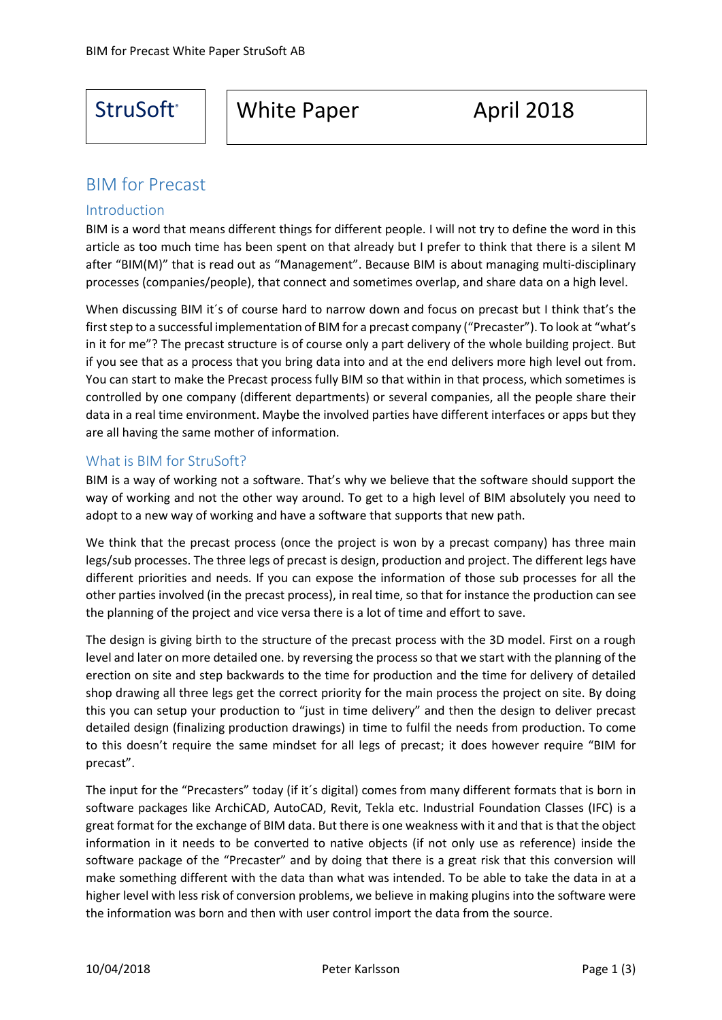# StruSoft<sup>®</sup> | White Paper April 2018

## BIM for Precast

#### Introduction

֡֬

BIM is a word that means different things for different people. I will not try to define the word in this article as too much time has been spent on that already but I prefer to think that there is a silent M after "BIM(M)" that is read out as "Management". Because BIM is about managing multi-disciplinary processes (companies/people), that connect and sometimes overlap, and share data on a high level.

When discussing BIM it's of course hard to narrow down and focus on precast but I think that's the first step to a successful implementation of BIM for a precast company ("Precaster"). To look at "what's in it for me"? The precast structure is of course only a part delivery of the whole building project. But if you see that as a process that you bring data into and at the end delivers more high level out from. You can start to make the Precast process fully BIM so that within in that process, which sometimes is controlled by one company (different departments) or several companies, all the people share their data in a real time environment. Maybe the involved parties have different interfaces or apps but they are all having the same mother of information.

### What is BIM for StruSoft?

BIM is a way of working not a software. That's why we believe that the software should support the way of working and not the other way around. To get to a high level of BIM absolutely you need to adopt to a new way of working and have a software that supports that new path.

We think that the precast process (once the project is won by a precast company) has three main legs/sub processes. The three legs of precast is design, production and project. The different legs have different priorities and needs. If you can expose the information of those sub processes for all the other parties involved (in the precast process), in real time, so that for instance the production can see the planning of the project and vice versa there is a lot of time and effort to save.

The design is giving birth to the structure of the precast process with the 3D model. First on a rough level and later on more detailed one. by reversing the process so that we start with the planning of the erection on site and step backwards to the time for production and the time for delivery of detailed shop drawing all three legs get the correct priority for the main process the project on site. By doing this you can setup your production to "just in time delivery" and then the design to deliver precast detailed design (finalizing production drawings) in time to fulfil the needs from production. To come to this doesn't require the same mindset for all legs of precast; it does however require "BIM for precast".

The input for the "Precasters" today (if it´s digital) comes from many different formats that is born in software packages like ArchiCAD, AutoCAD, Revit, Tekla etc. Industrial Foundation Classes (IFC) is a great format for the exchange of BIM data. But there is one weakness with it and that is that the object information in it needs to be converted to native objects (if not only use as reference) inside the software package of the "Precaster" and by doing that there is a great risk that this conversion will make something different with the data than what was intended. To be able to take the data in at a higher level with less risk of conversion problems, we believe in making plugins into the software were the information was born and then with user control import the data from the source.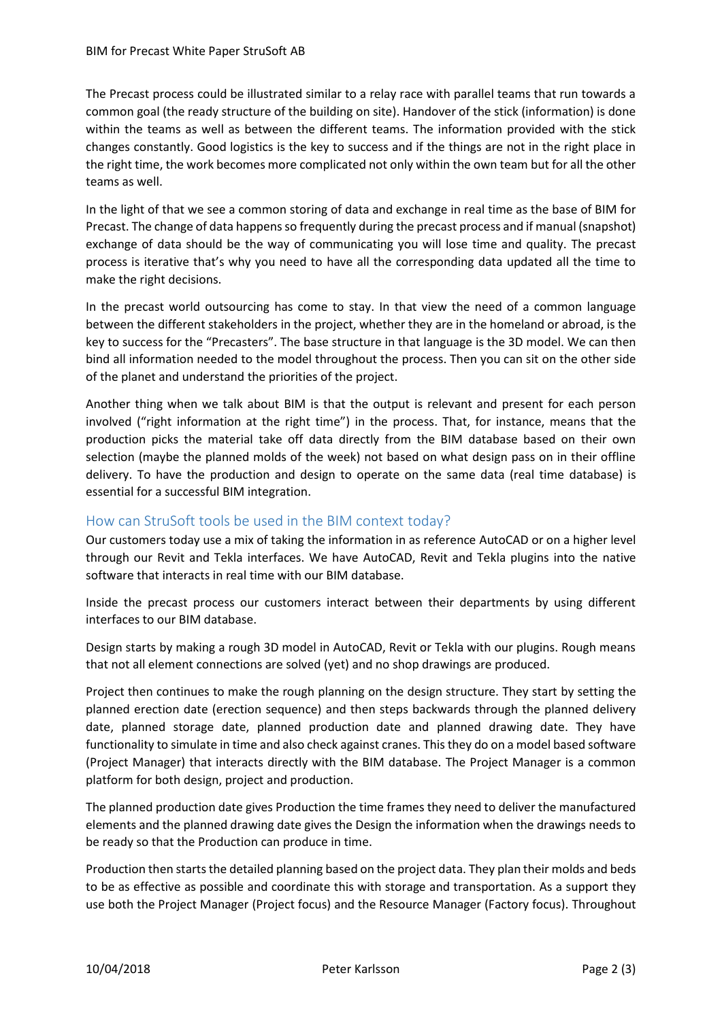The Precast process could be illustrated similar to a relay race with parallel teams that run towards a common goal (the ready structure of the building on site). Handover of the stick (information) is done within the teams as well as between the different teams. The information provided with the stick changes constantly. Good logistics is the key to success and if the things are not in the right place in the right time, the work becomes more complicated not only within the own team but for all the other teams as well.

In the light of that we see a common storing of data and exchange in real time as the base of BIM for Precast. The change of data happens so frequently during the precast process and if manual (snapshot) exchange of data should be the way of communicating you will lose time and quality. The precast process is iterative that's why you need to have all the corresponding data updated all the time to make the right decisions.

In the precast world outsourcing has come to stay. In that view the need of a common language between the different stakeholders in the project, whether they are in the homeland or abroad, is the key to success for the "Precasters". The base structure in that language is the 3D model. We can then bind all information needed to the model throughout the process. Then you can sit on the other side of the planet and understand the priorities of the project.

Another thing when we talk about BIM is that the output is relevant and present for each person involved ("right information at the right time") in the process. That, for instance, means that the production picks the material take off data directly from the BIM database based on their own selection (maybe the planned molds of the week) not based on what design pass on in their offline delivery. To have the production and design to operate on the same data (real time database) is essential for a successful BIM integration.

### How can StruSoft tools be used in the BIM context today?

Our customers today use a mix of taking the information in as reference AutoCAD or on a higher level through our Revit and Tekla interfaces. We have AutoCAD, Revit and Tekla plugins into the native software that interacts in real time with our BIM database.

Inside the precast process our customers interact between their departments by using different interfaces to our BIM database.

Design starts by making a rough 3D model in AutoCAD, Revit or Tekla with our plugins. Rough means that not all element connections are solved (yet) and no shop drawings are produced.

Project then continues to make the rough planning on the design structure. They start by setting the planned erection date (erection sequence) and then steps backwards through the planned delivery date, planned storage date, planned production date and planned drawing date. They have functionality to simulate in time and also check against cranes. This they do on a model based software (Project Manager) that interacts directly with the BIM database. The Project Manager is a common platform for both design, project and production.

The planned production date gives Production the time frames they need to deliver the manufactured elements and the planned drawing date gives the Design the information when the drawings needs to be ready so that the Production can produce in time.

Production then starts the detailed planning based on the project data. They plan their molds and beds to be as effective as possible and coordinate this with storage and transportation. As a support they use both the Project Manager (Project focus) and the Resource Manager (Factory focus). Throughout